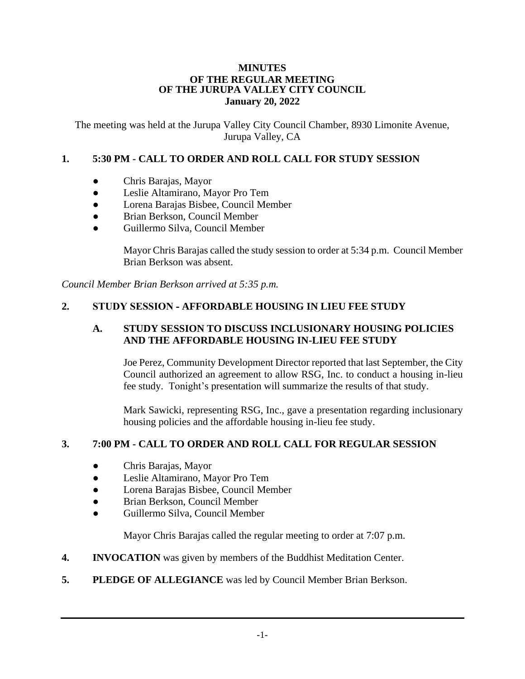#### **MINUTES OF THE REGULAR MEETING OF THE JURUPA VALLEY CITY COUNCIL January 20, 2022**

The meeting was held at the Jurupa Valley City Council Chamber, 8930 Limonite Avenue, Jurupa Valley, CA

# **1. 5:30 PM - CALL TO ORDER AND ROLL CALL FOR STUDY SESSION**

- Chris Barajas, Mayor
- Leslie Altamirano, Mayor Pro Tem
- Lorena Barajas Bisbee, Council Member
- Brian Berkson, Council Member
- Guillermo Silva, Council Member

Mayor Chris Barajas called the study session to order at 5:34 p.m. Council Member Brian Berkson was absent.

*Council Member Brian Berkson arrived at 5:35 p.m.* 

# **2. STUDY SESSION - AFFORDABLE HOUSING IN LIEU FEE STUDY**

#### **A. STUDY SESSION TO DISCUSS INCLUSIONARY HOUSING POLICIES AND THE AFFORDABLE HOUSING IN-LIEU FEE STUDY**

Joe Perez, Community Development Director reported that last September, the City Council authorized an agreement to allow RSG, Inc. to conduct a housing in-lieu fee study. Tonight's presentation will summarize the results of that study.

Mark Sawicki, representing RSG, Inc., gave a presentation regarding inclusionary housing policies and the affordable housing in-lieu fee study.

## **3. 7:00 PM - CALL TO ORDER AND ROLL CALL FOR REGULAR SESSION**

- Chris Barajas, Mayor
- Leslie Altamirano, Mayor Pro Tem
- Lorena Barajas Bisbee, Council Member
- Brian Berkson, Council Member
- Guillermo Silva, Council Member

Mayor Chris Barajas called the regular meeting to order at 7:07 p.m.

- **4. INVOCATION** was given by members of the Buddhist Meditation Center.
- **5. PLEDGE OF ALLEGIANCE** was led by Council Member Brian Berkson.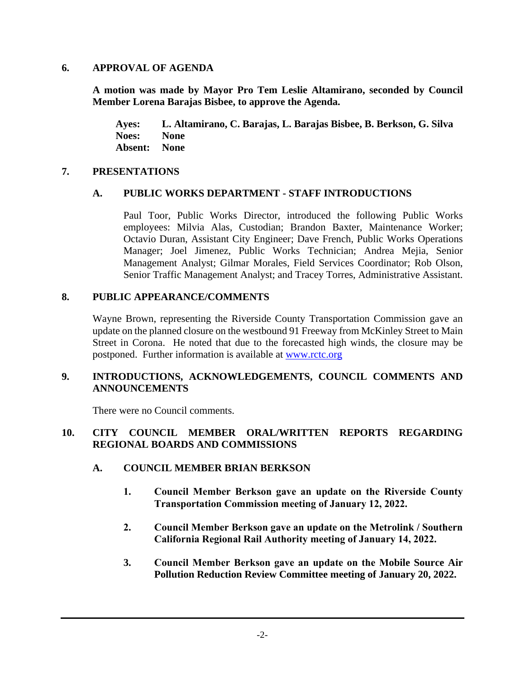#### **6. APPROVAL OF AGENDA**

**A motion was made by Mayor Pro Tem Leslie Altamirano, seconded by Council Member Lorena Barajas Bisbee, to approve the Agenda.**

**Ayes: L. Altamirano, C. Barajas, L. Barajas Bisbee, B. Berkson, G. Silva Noes: None Absent: None**

#### **7. PRESENTATIONS**

## **A. PUBLIC WORKS DEPARTMENT - STAFF INTRODUCTIONS**

Paul Toor, Public Works Director, introduced the following Public Works employees: Milvia Alas, Custodian; Brandon Baxter, Maintenance Worker; Octavio Duran, Assistant City Engineer; Dave French, Public Works Operations Manager; Joel Jimenez, Public Works Technician; Andrea Mejia, Senior Management Analyst; Gilmar Morales, Field Services Coordinator; Rob Olson, Senior Traffic Management Analyst; and Tracey Torres, Administrative Assistant.

#### **8. PUBLIC APPEARANCE/COMMENTS**

Wayne Brown, representing the Riverside County Transportation Commission gave an update on the planned closure on the westbound 91 Freeway from McKinley Street to Main Street in Corona. He noted that due to the forecasted high winds, the closure may be postponed. Further information is available at [www.rctc.org](http://www.rctc.org/)

#### **9. INTRODUCTIONS, ACKNOWLEDGEMENTS, COUNCIL COMMENTS AND ANNOUNCEMENTS**

There were no Council comments.

## **10. CITY COUNCIL MEMBER ORAL/WRITTEN REPORTS REGARDING REGIONAL BOARDS AND COMMISSIONS**

## **A. COUNCIL MEMBER BRIAN BERKSON**

- **1. Council Member Berkson gave an update on the Riverside County Transportation Commission meeting of January 12, 2022.**
- **2. Council Member Berkson gave an update on the Metrolink / Southern California Regional Rail Authority meeting of January 14, 2022.**
- **3. Council Member Berkson gave an update on the Mobile Source Air Pollution Reduction Review Committee meeting of January 20, 2022.**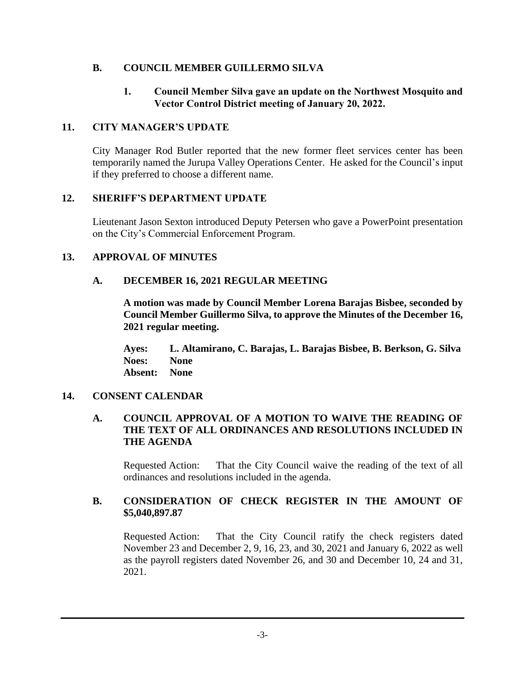# **B. COUNCIL MEMBER GUILLERMO SILVA**

## **1. Council Member Silva gave an update on the Northwest Mosquito and Vector Control District meeting of January 20, 2022.**

## **11. CITY MANAGER'S UPDATE**

City Manager Rod Butler reported that the new former fleet services center has been temporarily named the Jurupa Valley Operations Center. He asked for the Council's input if they preferred to choose a different name.

# **12. SHERIFF'S DEPARTMENT UPDATE**

Lieutenant Jason Sexton introduced Deputy Petersen who gave a PowerPoint presentation on the City's Commercial Enforcement Program.

# **13. APPROVAL OF MINUTES**

# **A. DECEMBER 16, 2021 REGULAR MEETING**

**A motion was made by Council Member Lorena Barajas Bisbee, seconded by Council Member Guillermo Silva, to approve the Minutes of the December 16, 2021 regular meeting.**

**Ayes: L. Altamirano, C. Barajas, L. Barajas Bisbee, B. Berkson, G. Silva Noes: None Absent: None**

## **14. CONSENT CALENDAR**

## **A. COUNCIL APPROVAL OF A MOTION TO WAIVE THE READING OF THE TEXT OF ALL ORDINANCES AND RESOLUTIONS INCLUDED IN THE AGENDA**

Requested Action: That the City Council waive the reading of the text of all ordinances and resolutions included in the agenda.

## **B. CONSIDERATION OF CHECK REGISTER IN THE AMOUNT OF \$5,040,897.87**

Requested Action: That the City Council ratify the check registers dated November 23 and December 2, 9, 16, 23, and 30, 2021 and January 6, 2022 as well as the payroll registers dated November 26, and 30 and December 10, 24 and 31, 2021.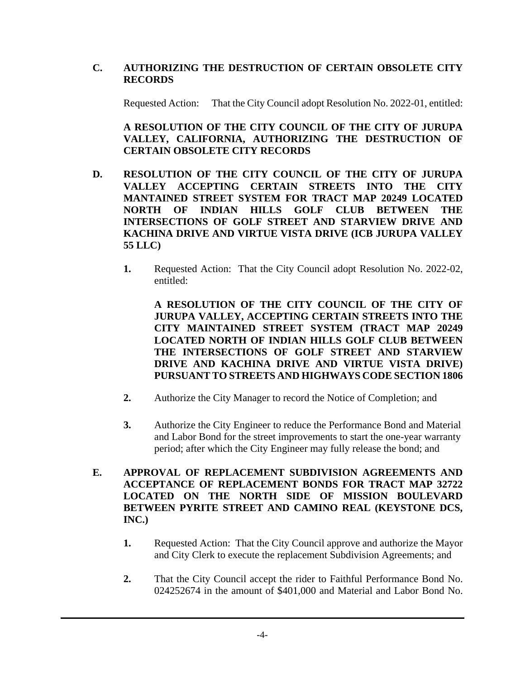# **C. AUTHORIZING THE DESTRUCTION OF CERTAIN OBSOLETE CITY RECORDS**

Requested Action: That the City Council adopt Resolution No. 2022-01, entitled:

**A RESOLUTION OF THE CITY COUNCIL OF THE CITY OF JURUPA VALLEY, CALIFORNIA, AUTHORIZING THE DESTRUCTION OF CERTAIN OBSOLETE CITY RECORDS**

- **D. RESOLUTION OF THE CITY COUNCIL OF THE CITY OF JURUPA VALLEY ACCEPTING CERTAIN STREETS INTO THE CITY MANTAINED STREET SYSTEM FOR TRACT MAP 20249 LOCATED NORTH OF INDIAN HILLS GOLF CLUB BETWEEN THE INTERSECTIONS OF GOLF STREET AND STARVIEW DRIVE AND KACHINA DRIVE AND VIRTUE VISTA DRIVE (ICB JURUPA VALLEY 55 LLC)**
	- **1.** Requested Action: That the City Council adopt Resolution No. 2022-02, entitled:

**A RESOLUTION OF THE CITY COUNCIL OF THE CITY OF JURUPA VALLEY, ACCEPTING CERTAIN STREETS INTO THE CITY MAINTAINED STREET SYSTEM (TRACT MAP 20249 LOCATED NORTH OF INDIAN HILLS GOLF CLUB BETWEEN THE INTERSECTIONS OF GOLF STREET AND STARVIEW DRIVE AND KACHINA DRIVE AND VIRTUE VISTA DRIVE) PURSUANT TO STREETS AND HIGHWAYS CODE SECTION 1806**

- **2.** Authorize the City Manager to record the Notice of Completion; and
- **3.** Authorize the City Engineer to reduce the Performance Bond and Material and Labor Bond for the street improvements to start the one-year warranty period; after which the City Engineer may fully release the bond; and
- **E. APPROVAL OF REPLACEMENT SUBDIVISION AGREEMENTS AND ACCEPTANCE OF REPLACEMENT BONDS FOR TRACT MAP 32722 LOCATED ON THE NORTH SIDE OF MISSION BOULEVARD BETWEEN PYRITE STREET AND CAMINO REAL (KEYSTONE DCS, INC.)**
	- **1.** Requested Action: That the City Council approve and authorize the Mayor and City Clerk to execute the replacement Subdivision Agreements; and
	- **2.** That the City Council accept the rider to Faithful Performance Bond No. 024252674 in the amount of \$401,000 and Material and Labor Bond No.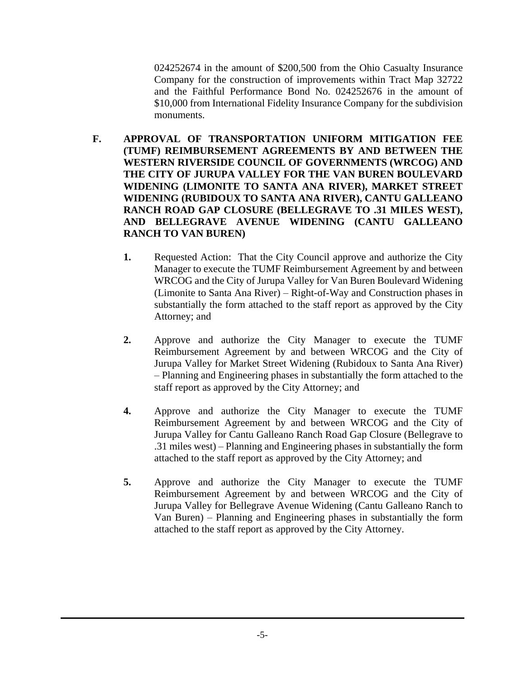024252674 in the amount of \$200,500 from the Ohio Casualty Insurance Company for the construction of improvements within Tract Map 32722 and the Faithful Performance Bond No. 024252676 in the amount of \$10,000 from International Fidelity Insurance Company for the subdivision monuments.

- **F. APPROVAL OF TRANSPORTATION UNIFORM MITIGATION FEE (TUMF) REIMBURSEMENT AGREEMENTS BY AND BETWEEN THE WESTERN RIVERSIDE COUNCIL OF GOVERNMENTS (WRCOG) AND THE CITY OF JURUPA VALLEY FOR THE VAN BUREN BOULEVARD WIDENING (LIMONITE TO SANTA ANA RIVER), MARKET STREET WIDENING (RUBIDOUX TO SANTA ANA RIVER), CANTU GALLEANO RANCH ROAD GAP CLOSURE (BELLEGRAVE TO .31 MILES WEST), AND BELLEGRAVE AVENUE WIDENING (CANTU GALLEANO RANCH TO VAN BUREN)**
	- **1.** Requested Action: That the City Council approve and authorize the City Manager to execute the TUMF Reimbursement Agreement by and between WRCOG and the City of Jurupa Valley for Van Buren Boulevard Widening (Limonite to Santa Ana River) – Right-of-Way and Construction phases in substantially the form attached to the staff report as approved by the City Attorney; and
	- **2.** Approve and authorize the City Manager to execute the TUMF Reimbursement Agreement by and between WRCOG and the City of Jurupa Valley for Market Street Widening (Rubidoux to Santa Ana River) – Planning and Engineering phases in substantially the form attached to the staff report as approved by the City Attorney; and
	- **4.** Approve and authorize the City Manager to execute the TUMF Reimbursement Agreement by and between WRCOG and the City of Jurupa Valley for Cantu Galleano Ranch Road Gap Closure (Bellegrave to .31 miles west) – Planning and Engineering phases in substantially the form attached to the staff report as approved by the City Attorney; and
	- **5.** Approve and authorize the City Manager to execute the TUMF Reimbursement Agreement by and between WRCOG and the City of Jurupa Valley for Bellegrave Avenue Widening (Cantu Galleano Ranch to Van Buren) – Planning and Engineering phases in substantially the form attached to the staff report as approved by the City Attorney.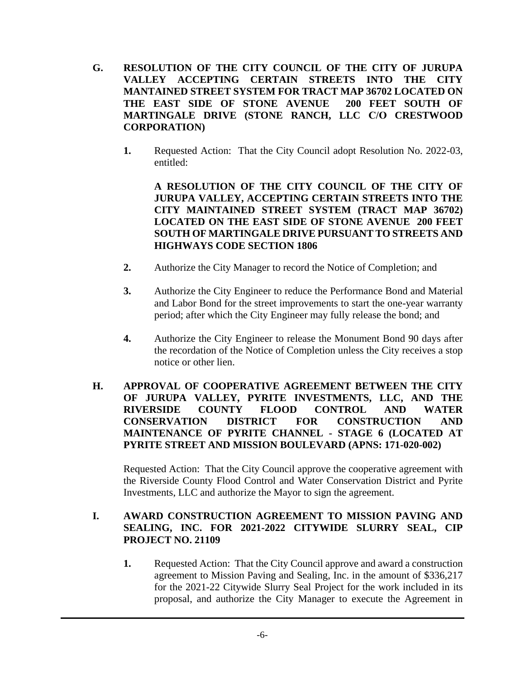- **G. RESOLUTION OF THE CITY COUNCIL OF THE CITY OF JURUPA VALLEY ACCEPTING CERTAIN STREETS INTO THE CITY MANTAINED STREET SYSTEM FOR TRACT MAP 36702 LOCATED ON THE EAST SIDE OF STONE AVENUE 200 FEET SOUTH OF MARTINGALE DRIVE (STONE RANCH, LLC C/O CRESTWOOD CORPORATION)**
	- **1.** Requested Action: That the City Council adopt Resolution No. 2022-03, entitled:

**A RESOLUTION OF THE CITY COUNCIL OF THE CITY OF JURUPA VALLEY, ACCEPTING CERTAIN STREETS INTO THE CITY MAINTAINED STREET SYSTEM (TRACT MAP 36702) LOCATED ON THE EAST SIDE OF STONE AVENUE 200 FEET SOUTH OF MARTINGALE DRIVE PURSUANT TO STREETS AND HIGHWAYS CODE SECTION 1806**

- **2.** Authorize the City Manager to record the Notice of Completion; and
- **3.** Authorize the City Engineer to reduce the Performance Bond and Material and Labor Bond for the street improvements to start the one-year warranty period; after which the City Engineer may fully release the bond; and
- **4.** Authorize the City Engineer to release the Monument Bond 90 days after the recordation of the Notice of Completion unless the City receives a stop notice or other lien.
- **H. APPROVAL OF COOPERATIVE AGREEMENT BETWEEN THE CITY OF JURUPA VALLEY, PYRITE INVESTMENTS, LLC, AND THE RIVERSIDE COUNTY FLOOD CONTROL AND WATER CONSERVATION DISTRICT FOR CONSTRUCTION AND MAINTENANCE OF PYRITE CHANNEL - STAGE 6 (LOCATED AT PYRITE STREET AND MISSION BOULEVARD (APNS: 171-020-002)**

Requested Action: That the City Council approve the cooperative agreement with the Riverside County Flood Control and Water Conservation District and Pyrite Investments, LLC and authorize the Mayor to sign the agreement.

# **I. AWARD CONSTRUCTION AGREEMENT TO MISSION PAVING AND SEALING, INC. FOR 2021-2022 CITYWIDE SLURRY SEAL, CIP PROJECT NO. 21109**

**1.** Requested Action: That the City Council approve and award a construction agreement to Mission Paving and Sealing, Inc. in the amount of \$336,217 for the 2021-22 Citywide Slurry Seal Project for the work included in its proposal, and authorize the City Manager to execute the Agreement in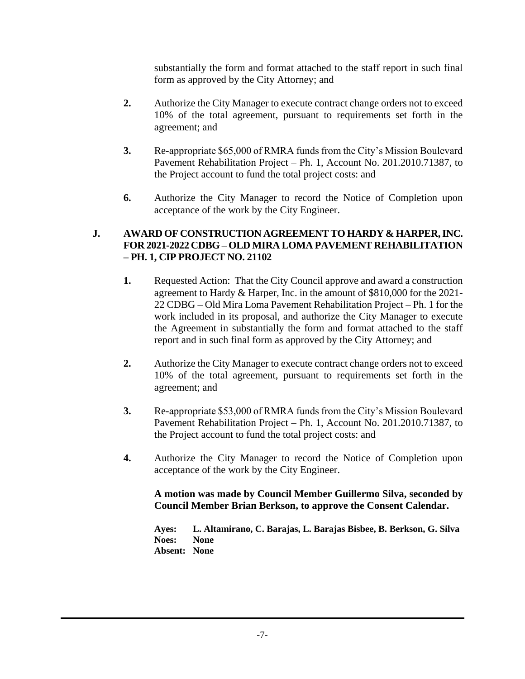substantially the form and format attached to the staff report in such final form as approved by the City Attorney; and

- **2.** Authorize the City Manager to execute contract change orders not to exceed 10% of the total agreement, pursuant to requirements set forth in the agreement; and
- **3.** Re-appropriate \$65,000 of RMRA funds from the City's Mission Boulevard Pavement Rehabilitation Project – Ph. 1, Account No. 201.2010.71387, to the Project account to fund the total project costs: and
- **6.** Authorize the City Manager to record the Notice of Completion upon acceptance of the work by the City Engineer.

## **J. AWARD OF CONSTRUCTION AGREEMENT TO HARDY & HARPER, INC. FOR 2021-2022 CDBG – OLD MIRA LOMA PAVEMENT REHABILITATION – PH. 1, CIP PROJECT NO. 21102**

- **1.** Requested Action: That the City Council approve and award a construction agreement to Hardy & Harper, Inc. in the amount of \$810,000 for the 2021- 22 CDBG – Old Mira Loma Pavement Rehabilitation Project – Ph. 1 for the work included in its proposal, and authorize the City Manager to execute the Agreement in substantially the form and format attached to the staff report and in such final form as approved by the City Attorney; and
- **2.** Authorize the City Manager to execute contract change orders not to exceed 10% of the total agreement, pursuant to requirements set forth in the agreement; and
- **3.** Re-appropriate \$53,000 of RMRA funds from the City's Mission Boulevard Pavement Rehabilitation Project – Ph. 1, Account No. 201.2010.71387, to the Project account to fund the total project costs: and
- **4.** Authorize the City Manager to record the Notice of Completion upon acceptance of the work by the City Engineer.

**A motion was made by Council Member Guillermo Silva, seconded by Council Member Brian Berkson, to approve the Consent Calendar.**

**Ayes: L. Altamirano, C. Barajas, L. Barajas Bisbee, B. Berkson, G. Silva Noes: None Absent: None**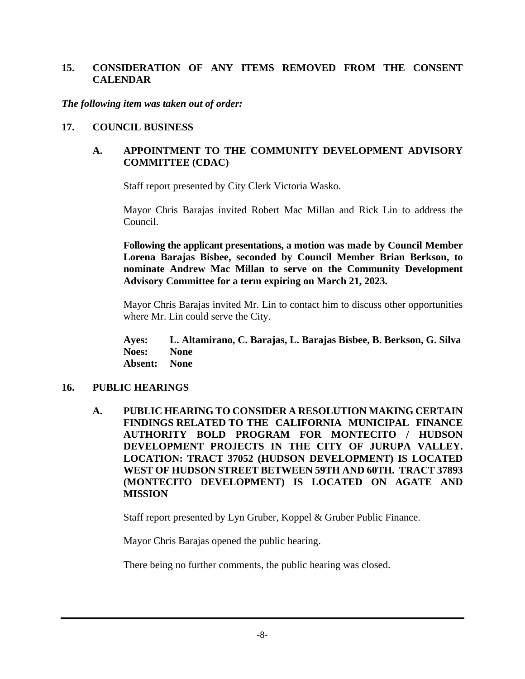## **15. CONSIDERATION OF ANY ITEMS REMOVED FROM THE CONSENT CALENDAR**

*The following item was taken out of order:*

## **17. COUNCIL BUSINESS**

## **A. APPOINTMENT TO THE COMMUNITY DEVELOPMENT ADVISORY COMMITTEE (CDAC)**

Staff report presented by City Clerk Victoria Wasko.

Mayor Chris Barajas invited Robert Mac Millan and Rick Lin to address the Council.

**Following the applicant presentations, a motion was made by Council Member Lorena Barajas Bisbee, seconded by Council Member Brian Berkson, to nominate Andrew Mac Millan to serve on the Community Development Advisory Committee for a term expiring on March 21, 2023.**

Mayor Chris Barajas invited Mr. Lin to contact him to discuss other opportunities where Mr. Lin could serve the City.

**Ayes: L. Altamirano, C. Barajas, L. Barajas Bisbee, B. Berkson, G. Silva Noes: None Absent: None**

#### **16. PUBLIC HEARINGS**

**A. PUBLIC HEARING TO CONSIDER A RESOLUTION MAKING CERTAIN FINDINGS RELATED TO THE CALIFORNIA MUNICIPAL FINANCE AUTHORITY BOLD PROGRAM FOR MONTECITO / HUDSON DEVELOPMENT PROJECTS IN THE CITY OF JURUPA VALLEY. LOCATION: TRACT 37052 (HUDSON DEVELOPMENT) IS LOCATED WEST OF HUDSON STREET BETWEEN 59TH AND 60TH. TRACT 37893 (MONTECITO DEVELOPMENT) IS LOCATED ON AGATE AND MISSION**

Staff report presented by Lyn Gruber, Koppel & Gruber Public Finance.

Mayor Chris Barajas opened the public hearing.

There being no further comments, the public hearing was closed.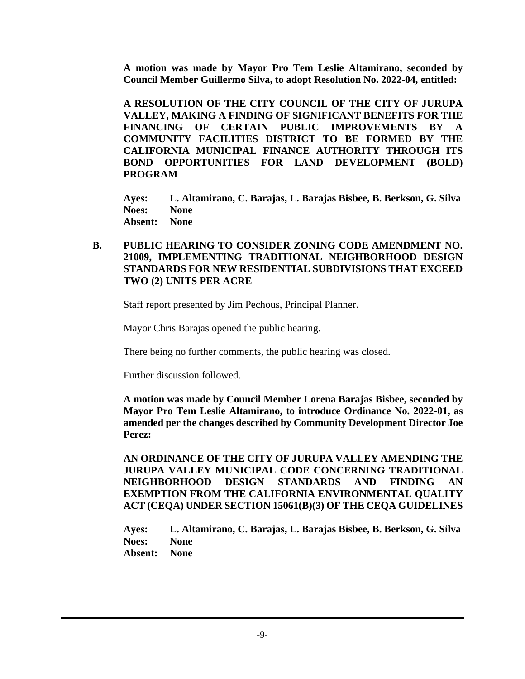**A motion was made by Mayor Pro Tem Leslie Altamirano, seconded by Council Member Guillermo Silva, to adopt Resolution No. 2022-04, entitled:**

**A RESOLUTION OF THE CITY COUNCIL OF THE CITY OF JURUPA VALLEY, MAKING A FINDING OF SIGNIFICANT BENEFITS FOR THE FINANCING OF CERTAIN PUBLIC IMPROVEMENTS BY A COMMUNITY FACILITIES DISTRICT TO BE FORMED BY THE CALIFORNIA MUNICIPAL FINANCE AUTHORITY THROUGH ITS BOND OPPORTUNITIES FOR LAND DEVELOPMENT (BOLD) PROGRAM**

**Ayes: L. Altamirano, C. Barajas, L. Barajas Bisbee, B. Berkson, G. Silva Noes: None Absent: None**

#### **B. PUBLIC HEARING TO CONSIDER ZONING CODE AMENDMENT NO. 21009, IMPLEMENTING TRADITIONAL NEIGHBORHOOD DESIGN STANDARDS FOR NEW RESIDENTIAL SUBDIVISIONS THAT EXCEED TWO (2) UNITS PER ACRE**

Staff report presented by Jim Pechous, Principal Planner.

Mayor Chris Barajas opened the public hearing.

There being no further comments, the public hearing was closed.

Further discussion followed.

**A motion was made by Council Member Lorena Barajas Bisbee, seconded by Mayor Pro Tem Leslie Altamirano, to introduce Ordinance No. 2022-01, as amended per the changes described by Community Development Director Joe Perez:** 

**AN ORDINANCE OF THE CITY OF JURUPA VALLEY AMENDING THE JURUPA VALLEY MUNICIPAL CODE CONCERNING TRADITIONAL NEIGHBORHOOD DESIGN STANDARDS AND FINDING AN EXEMPTION FROM THE CALIFORNIA ENVIRONMENTAL QUALITY ACT (CEQA) UNDER SECTION 15061(B)(3) OF THE CEQA GUIDELINES**

**Ayes: L. Altamirano, C. Barajas, L. Barajas Bisbee, B. Berkson, G. Silva Noes: None Absent: None**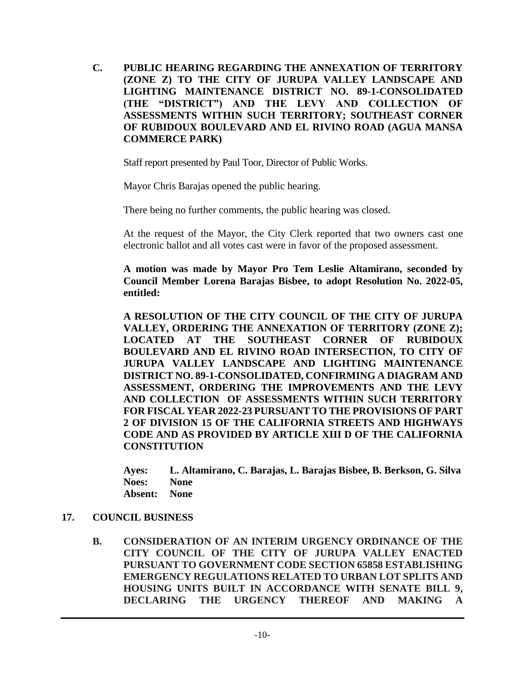**C. PUBLIC HEARING REGARDING THE ANNEXATION OF TERRITORY (ZONE Z) TO THE CITY OF JURUPA VALLEY LANDSCAPE AND LIGHTING MAINTENANCE DISTRICT NO. 89-1-CONSOLIDATED (THE "DISTRICT") AND THE LEVY AND COLLECTION OF ASSESSMENTS WITHIN SUCH TERRITORY; SOUTHEAST CORNER OF RUBIDOUX BOULEVARD AND EL RIVINO ROAD (AGUA MANSA COMMERCE PARK)**

Staff report presented by Paul Toor, Director of Public Works.

Mayor Chris Barajas opened the public hearing.

There being no further comments, the public hearing was closed.

At the request of the Mayor, the City Clerk reported that two owners cast one electronic ballot and all votes cast were in favor of the proposed assessment.

**A motion was made by Mayor Pro Tem Leslie Altamirano, seconded by Council Member Lorena Barajas Bisbee, to adopt Resolution No. 2022-05, entitled:**

**A RESOLUTION OF THE CITY COUNCIL OF THE CITY OF JURUPA VALLEY, ORDERING THE ANNEXATION OF TERRITORY (ZONE Z); LOCATED AT THE SOUTHEAST CORNER OF RUBIDOUX BOULEVARD AND EL RIVINO ROAD INTERSECTION, TO CITY OF JURUPA VALLEY LANDSCAPE AND LIGHTING MAINTENANCE DISTRICT NO. 89-1-CONSOLIDATED, CONFIRMING A DIAGRAM AND ASSESSMENT, ORDERING THE IMPROVEMENTS AND THE LEVY AND COLLECTION OF ASSESSMENTS WITHIN SUCH TERRITORY FOR FISCAL YEAR 2022-23 PURSUANT TO THE PROVISIONS OF PART 2 OF DIVISION 15 OF THE CALIFORNIA STREETS AND HIGHWAYS CODE AND AS PROVIDED BY ARTICLE XIII D OF THE CALIFORNIA CONSTITUTION**

**Ayes: L. Altamirano, C. Barajas, L. Barajas Bisbee, B. Berkson, G. Silva Noes: None Absent: None**

## **17. COUNCIL BUSINESS**

**B. CONSIDERATION OF AN INTERIM URGENCY ORDINANCE OF THE CITY COUNCIL OF THE CITY OF JURUPA VALLEY ENACTED PURSUANT TO GOVERNMENT CODE SECTION 65858 ESTABLISHING EMERGENCY REGULATIONS RELATED TO URBAN LOT SPLITS AND HOUSING UNITS BUILT IN ACCORDANCE WITH SENATE BILL 9, DECLARING THE URGENCY THEREOF AND MAKING A**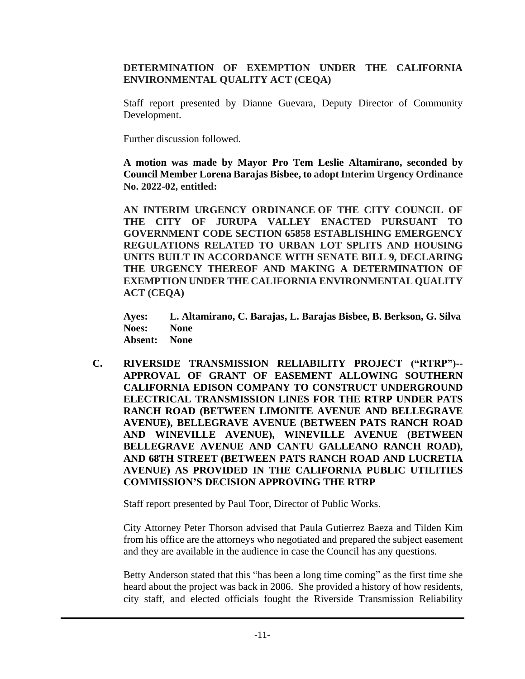**DETERMINATION OF EXEMPTION UNDER THE CALIFORNIA ENVIRONMENTAL QUALITY ACT (CEQA)**

Staff report presented by Dianne Guevara, Deputy Director of Community Development.

Further discussion followed.

**A motion was made by Mayor Pro Tem Leslie Altamirano, seconded by Council Member Lorena Barajas Bisbee, to adopt Interim Urgency Ordinance No. 2022-02, entitled:**

**AN INTERIM URGENCY ORDINANCE OF THE CITY COUNCIL OF THE CITY OF JURUPA VALLEY ENACTED PURSUANT TO GOVERNMENT CODE SECTION 65858 ESTABLISHING EMERGENCY REGULATIONS RELATED TO URBAN LOT SPLITS AND HOUSING UNITS BUILT IN ACCORDANCE WITH SENATE BILL 9, DECLARING THE URGENCY THEREOF AND MAKING A DETERMINATION OF EXEMPTION UNDER THE CALIFORNIA ENVIRONMENTAL QUALITY ACT (CEQA)**

**Ayes: L. Altamirano, C. Barajas, L. Barajas Bisbee, B. Berkson, G. Silva Noes: None Absent: None**

**C. RIVERSIDE TRANSMISSION RELIABILITY PROJECT ("RTRP")-- APPROVAL OF GRANT OF EASEMENT ALLOWING SOUTHERN CALIFORNIA EDISON COMPANY TO CONSTRUCT UNDERGROUND ELECTRICAL TRANSMISSION LINES FOR THE RTRP UNDER PATS RANCH ROAD (BETWEEN LIMONITE AVENUE AND BELLEGRAVE AVENUE), BELLEGRAVE AVENUE (BETWEEN PATS RANCH ROAD AND WINEVILLE AVENUE), WINEVILLE AVENUE (BETWEEN BELLEGRAVE AVENUE AND CANTU GALLEANO RANCH ROAD), AND 68TH STREET (BETWEEN PATS RANCH ROAD AND LUCRETIA AVENUE) AS PROVIDED IN THE CALIFORNIA PUBLIC UTILITIES COMMISSION'S DECISION APPROVING THE RTRP**

Staff report presented by Paul Toor, Director of Public Works.

City Attorney Peter Thorson advised that Paula Gutierrez Baeza and Tilden Kim from his office are the attorneys who negotiated and prepared the subject easement and they are available in the audience in case the Council has any questions.

Betty Anderson stated that this "has been a long time coming" as the first time she heard about the project was back in 2006. She provided a history of how residents, city staff, and elected officials fought the Riverside Transmission Reliability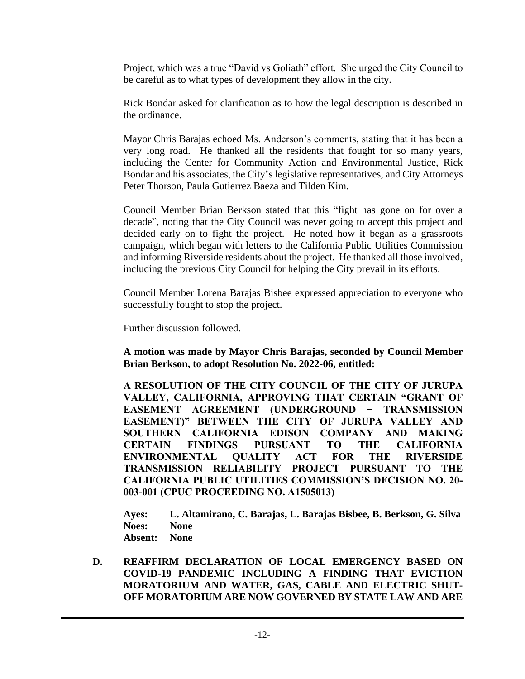Project, which was a true "David vs Goliath" effort. She urged the City Council to be careful as to what types of development they allow in the city.

Rick Bondar asked for clarification as to how the legal description is described in the ordinance.

Mayor Chris Barajas echoed Ms. Anderson's comments, stating that it has been a very long road. He thanked all the residents that fought for so many years, including the Center for Community Action and Environmental Justice, Rick Bondar and his associates, the City's legislative representatives, and City Attorneys Peter Thorson, Paula Gutierrez Baeza and Tilden Kim.

Council Member Brian Berkson stated that this "fight has gone on for over a decade", noting that the City Council was never going to accept this project and decided early on to fight the project. He noted how it began as a grassroots campaign, which began with letters to the California Public Utilities Commission and informing Riverside residents about the project. He thanked all those involved, including the previous City Council for helping the City prevail in its efforts.

Council Member Lorena Barajas Bisbee expressed appreciation to everyone who successfully fought to stop the project.

Further discussion followed.

**A motion was made by Mayor Chris Barajas, seconded by Council Member Brian Berkson, to adopt Resolution No. 2022-06, entitled:**

**A RESOLUTION OF THE CITY COUNCIL OF THE CITY OF JURUPA VALLEY, CALIFORNIA, APPROVING THAT CERTAIN "GRANT OF EASEMENT AGREEMENT (UNDERGROUND − TRANSMISSION EASEMENT)" BETWEEN THE CITY OF JURUPA VALLEY AND SOUTHERN CALIFORNIA EDISON COMPANY AND MAKING CERTAIN FINDINGS PURSUANT TO THE CALIFORNIA ENVIRONMENTAL QUALITY ACT FOR THE RIVERSIDE TRANSMISSION RELIABILITY PROJECT PURSUANT TO THE CALIFORNIA PUBLIC UTILITIES COMMISSION'S DECISION NO. 20- 003-001 (CPUC PROCEEDING NO. A1505013)**

**Ayes: L. Altamirano, C. Barajas, L. Barajas Bisbee, B. Berkson, G. Silva Noes: None Absent: None**

**D. REAFFIRM DECLARATION OF LOCAL EMERGENCY BASED ON COVID-19 PANDEMIC INCLUDING A FINDING THAT EVICTION MORATORIUM AND WATER, GAS, CABLE AND ELECTRIC SHUT-OFF MORATORIUM ARE NOW GOVERNED BY STATE LAW AND ARE**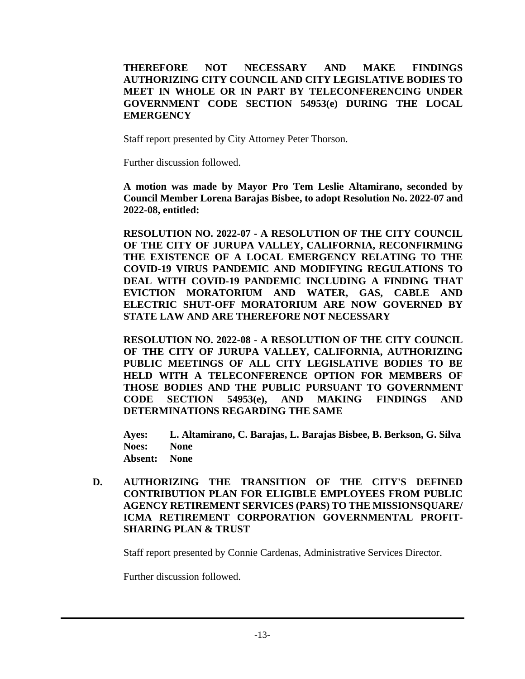#### **THEREFORE NOT NECESSARY AND MAKE FINDINGS AUTHORIZING CITY COUNCIL AND CITY LEGISLATIVE BODIES TO MEET IN WHOLE OR IN PART BY TELECONFERENCING UNDER GOVERNMENT CODE SECTION 54953(e) DURING THE LOCAL EMERGENCY**

Staff report presented by City Attorney Peter Thorson.

Further discussion followed.

**A motion was made by Mayor Pro Tem Leslie Altamirano, seconded by Council Member Lorena Barajas Bisbee, to adopt Resolution No. 2022-07 and 2022-08, entitled:**

**RESOLUTION NO. 2022-07 - A RESOLUTION OF THE CITY COUNCIL OF THE CITY OF JURUPA VALLEY, CALIFORNIA, RECONFIRMING THE EXISTENCE OF A LOCAL EMERGENCY RELATING TO THE COVID-19 VIRUS PANDEMIC AND MODIFYING REGULATIONS TO DEAL WITH COVID-19 PANDEMIC INCLUDING A FINDING THAT EVICTION MORATORIUM AND WATER, GAS, CABLE AND ELECTRIC SHUT-OFF MORATORIUM ARE NOW GOVERNED BY STATE LAW AND ARE THEREFORE NOT NECESSARY**

**RESOLUTION NO. 2022-08 - A RESOLUTION OF THE CITY COUNCIL OF THE CITY OF JURUPA VALLEY, CALIFORNIA, AUTHORIZING PUBLIC MEETINGS OF ALL CITY LEGISLATIVE BODIES TO BE HELD WITH A TELECONFERENCE OPTION FOR MEMBERS OF THOSE BODIES AND THE PUBLIC PURSUANT TO GOVERNMENT CODE SECTION 54953(e), AND MAKING FINDINGS AND DETERMINATIONS REGARDING THE SAME**

**Ayes: L. Altamirano, C. Barajas, L. Barajas Bisbee, B. Berkson, G. Silva Noes: None Absent: None**

**D. AUTHORIZING THE TRANSITION OF THE CITY'S DEFINED CONTRIBUTION PLAN FOR ELIGIBLE EMPLOYEES FROM PUBLIC AGENCY RETIREMENT SERVICES (PARS) TO THE MISSIONSQUARE/ ICMA RETIREMENT CORPORATION GOVERNMENTAL PROFIT-SHARING PLAN & TRUST**

Staff report presented by Connie Cardenas, Administrative Services Director.

Further discussion followed.